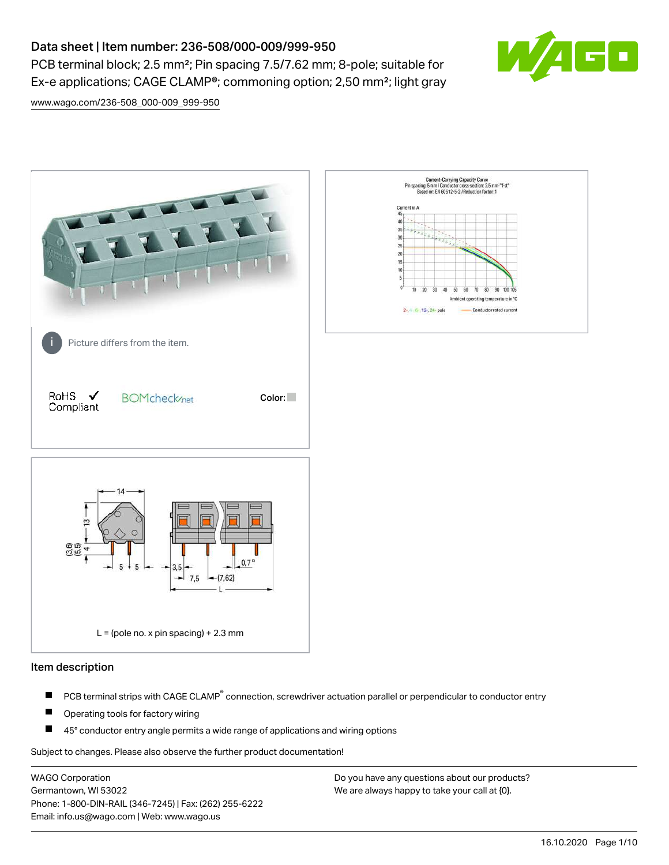PCB terminal block; 2.5 mm<sup>2</sup>; Pin spacing 7.5/7.62 mm; 8-pole; suitable for Ex-e applications; CAGE CLAMP®; commoning option; 2,50 mm²; light gray



[www.wago.com/236-508\\_000-009\\_999-950](http://www.wago.com/236-508_000-009_999-950)



#### Item description

- PCB terminal strips with CAGE CLAMP<sup>®</sup> connection, screwdriver actuation parallel or perpendicular to conductor entry П
- П Operating tools for factory wiring
- П 45° conductor entry angle permits a wide range of applications and wiring options

Subject to changes. Please also observe the further product documentation!

WAGO Corporation Germantown, WI 53022 Phone: 1-800-DIN-RAIL (346-7245) | Fax: (262) 255-6222 Email: info.us@wago.com | Web: www.wago.us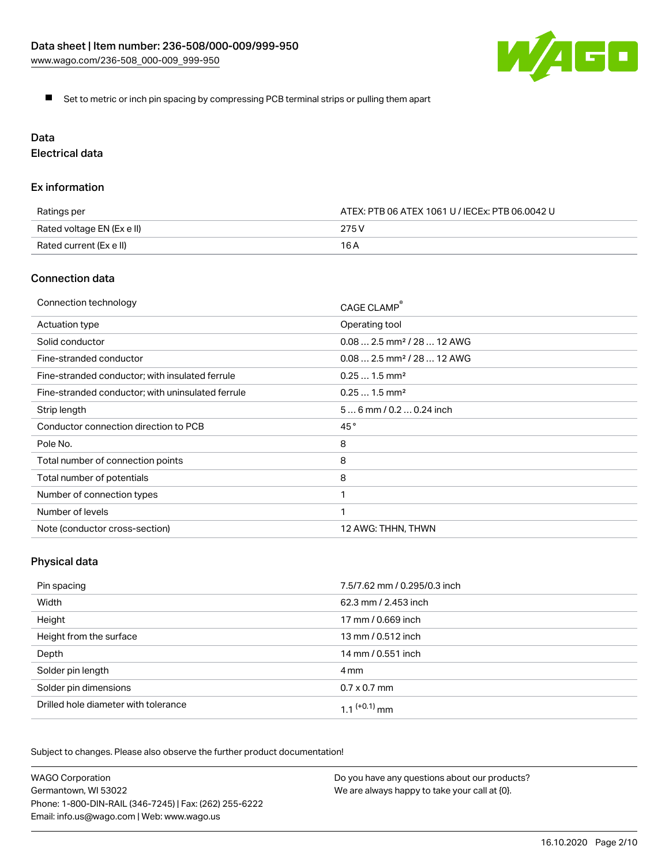

Set to metric or inch pin spacing by compressing PCB terminal strips or pulling them apart

# Data

Electrical data

## Ex information

| Ratings per                | ATEX: PTB 06 ATEX 1061 U / IECEx: PTB 06.0042 U |
|----------------------------|-------------------------------------------------|
| Rated voltage EN (Ex e II) | 275 V                                           |
| Rated current (Ex e II)    | 16 A                                            |

## Connection data

| Connection technology                             | CAGE CLAMP <sup>®</sup>                 |
|---------------------------------------------------|-----------------------------------------|
| Actuation type                                    | Operating tool                          |
| Solid conductor                                   | $0.08$ 2.5 mm <sup>2</sup> / 28  12 AWG |
| Fine-stranded conductor                           | $0.08$ 2.5 mm <sup>2</sup> / 28  12 AWG |
| Fine-stranded conductor; with insulated ferrule   | $0.251.5$ mm <sup>2</sup>               |
| Fine-stranded conductor; with uninsulated ferrule | $0.251.5$ mm <sup>2</sup>               |
| Strip length                                      | $56$ mm $/ 0.20.24$ inch                |
| Conductor connection direction to PCB             | 45°                                     |
| Pole No.                                          | 8                                       |
| Total number of connection points                 | 8                                       |
| Total number of potentials                        | 8                                       |
| Number of connection types                        |                                         |
| Number of levels                                  | 1                                       |
| Note (conductor cross-section)                    | 12 AWG: THHN, THWN                      |

# Physical data

| Pin spacing                          | 7.5/7.62 mm / 0.295/0.3 inch |
|--------------------------------------|------------------------------|
| Width                                | 62.3 mm / 2.453 inch         |
| Height                               | 17 mm / 0.669 inch           |
| Height from the surface              | 13 mm / 0.512 inch           |
| Depth                                | 14 mm / 0.551 inch           |
| Solder pin length                    | 4 mm                         |
| Solder pin dimensions                | $0.7 \times 0.7$ mm          |
| Drilled hole diameter with tolerance | 1 1 $(+0.1)$ mm              |

Subject to changes. Please also observe the further product documentation!

| <b>WAGO Corporation</b>                                | Do you have any questions about our products? |
|--------------------------------------------------------|-----------------------------------------------|
| Germantown, WI 53022                                   | We are always happy to take your call at {0}. |
| Phone: 1-800-DIN-RAIL (346-7245)   Fax: (262) 255-6222 |                                               |
| Email: info.us@wago.com   Web: www.wago.us             |                                               |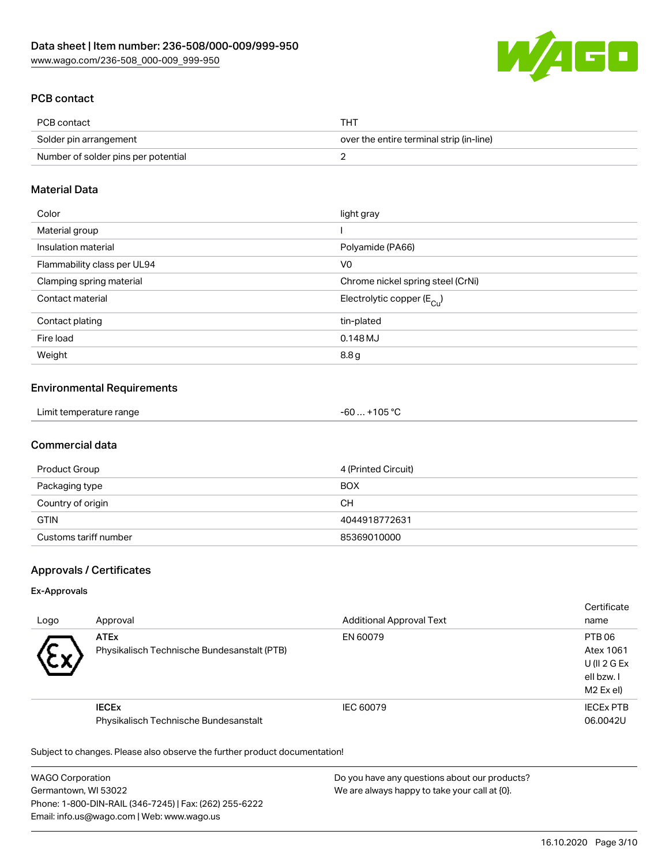

# PCB contact

| PCB contact                         | THT.                                     |
|-------------------------------------|------------------------------------------|
| Solder pin arrangement              | over the entire terminal strip (in-line) |
| Number of solder pins per potential |                                          |

## Material Data

| Color                       | light gray                            |
|-----------------------------|---------------------------------------|
| Material group              |                                       |
| Insulation material         | Polyamide (PA66)                      |
| Flammability class per UL94 | V <sub>0</sub>                        |
| Clamping spring material    | Chrome nickel spring steel (CrNi)     |
| Contact material            | Electrolytic copper $(E_{\text{Cu}})$ |
| Contact plating             | tin-plated                            |
| Fire load                   | 0.148 MJ                              |
| Weight                      | 8.8g                                  |

#### Environmental Requirements

# Commercial data

| Product Group         | 4 (Printed Circuit) |
|-----------------------|---------------------|
| Packaging type        | <b>BOX</b>          |
| Country of origin     | CН                  |
| <b>GTIN</b>           | 4044918772631       |
| Customs tariff number | 85369010000         |

# Approvals / Certificates

#### Ex-Approvals

| Logo | Approval                                                   | <b>Additional Approval Text</b> | Certificate<br>name                                                          |
|------|------------------------------------------------------------|---------------------------------|------------------------------------------------------------------------------|
| w    | <b>ATEx</b><br>Physikalisch Technische Bundesanstalt (PTB) | EN 60079                        | PTB 06<br>Atex 1061<br>U (II $2$ G Ex<br>ell bzw. I<br>M <sub>2</sub> Ex el) |
|      | <b>IECEX</b><br>Physikalisch Technische Bundesanstalt      | IEC 60079                       | <b>IECEX PTB</b><br>06.0042U                                                 |

Subject to changes. Please also observe the further product documentation!

WAGO Corporation Germantown, WI 53022 Phone: 1-800-DIN-RAIL (346-7245) | Fax: (262) 255-6222 Email: info.us@wago.com | Web: www.wago.us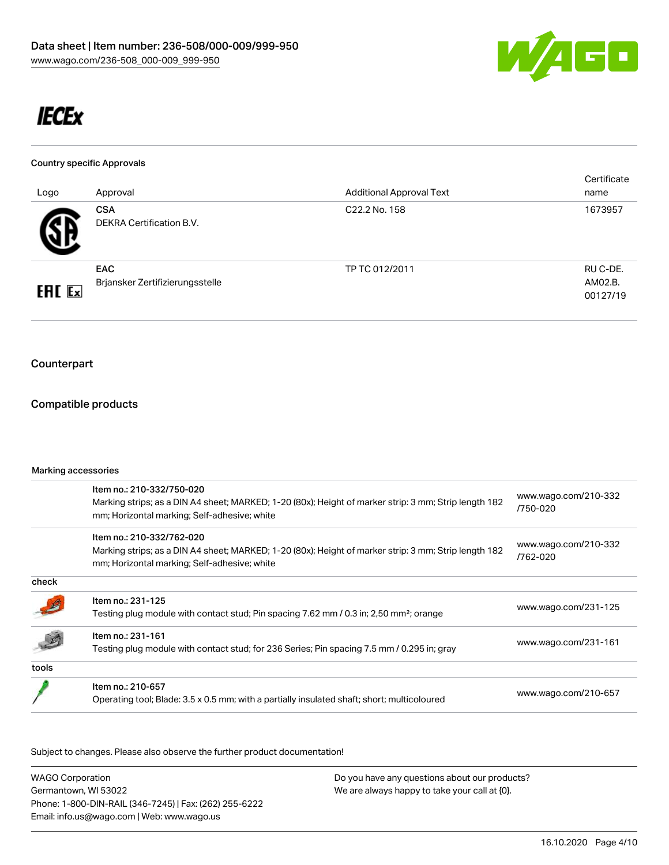

# **IECEx**

#### Country specific Approvals

| Logo          | Approval                                      | <b>Additional Approval Text</b> | Certificate<br>name             |
|---------------|-----------------------------------------------|---------------------------------|---------------------------------|
| 5 D           | <b>CSA</b><br>DEKRA Certification B.V.        | C22.2 No. 158                   | 1673957                         |
| <b>ERC</b> Ex | <b>EAC</b><br>Brjansker Zertifizierungsstelle | TP TC 012/2011                  | RU C-DE.<br>AM02.B.<br>00127/19 |

# Counterpart

## Compatible products

#### Marking accessories

|       | Item no.: 210-332/750-020<br>Marking strips; as a DIN A4 sheet; MARKED; 1-20 (80x); Height of marker strip: 3 mm; Strip length 182<br>mm; Horizontal marking; Self-adhesive; white | www.wago.com/210-332<br>/750-020 |
|-------|------------------------------------------------------------------------------------------------------------------------------------------------------------------------------------|----------------------------------|
|       | Item no.: 210-332/762-020<br>Marking strips; as a DIN A4 sheet; MARKED; 1-20 (80x); Height of marker strip: 3 mm; Strip length 182<br>mm; Horizontal marking; Self-adhesive; white | www.wago.com/210-332<br>/762-020 |
| check |                                                                                                                                                                                    |                                  |
|       | Item no.: 231-125<br>Testing plug module with contact stud; Pin spacing 7.62 mm / 0.3 in; 2,50 mm <sup>2</sup> ; orange                                                            | www.wago.com/231-125             |
|       | Item no.: 231-161<br>Testing plug module with contact stud; for 236 Series; Pin spacing 7.5 mm / 0.295 in; gray                                                                    | www.wago.com/231-161             |
| tools |                                                                                                                                                                                    |                                  |
|       | Item no.: 210-657<br>Operating tool; Blade: 3.5 x 0.5 mm; with a partially insulated shaft; short; multicoloured                                                                   | www.wago.com/210-657             |
|       |                                                                                                                                                                                    |                                  |

Subject to changes. Please also observe the further product documentation!

| <b>WAGO Corporation</b>                                | Do you have any questions about our products? |
|--------------------------------------------------------|-----------------------------------------------|
| Germantown, WI 53022                                   | We are always happy to take your call at {0}. |
| Phone: 1-800-DIN-RAIL (346-7245)   Fax: (262) 255-6222 |                                               |
| Email: info.us@wago.com   Web: www.wago.us             |                                               |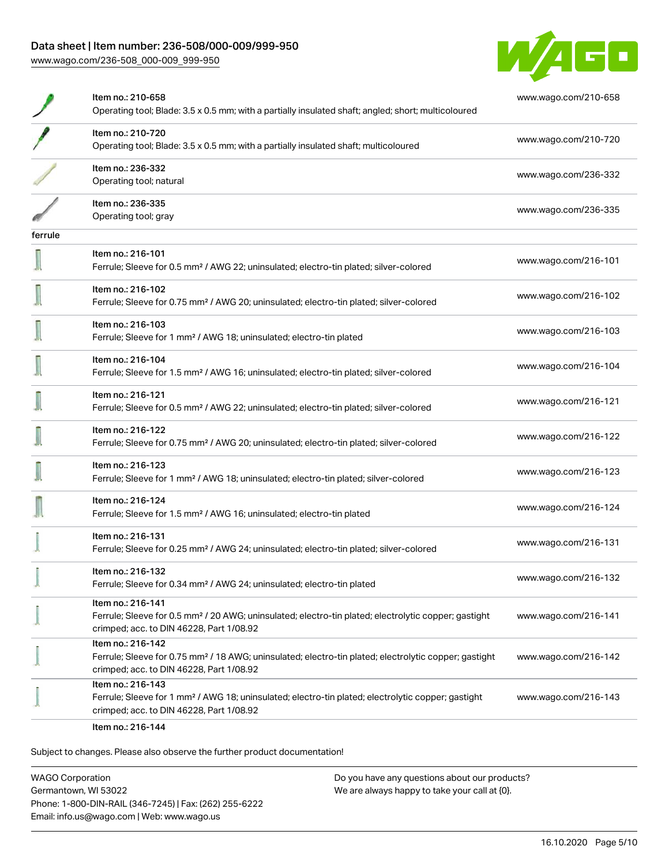[www.wago.com/236-508\\_000-009\\_999-950](http://www.wago.com/236-508_000-009_999-950)



|         | Item no.: 210-658<br>Operating tool; Blade: 3.5 x 0.5 mm; with a partially insulated shaft; angled; short; multicoloured                                                           | www.wago.com/210-658 |
|---------|------------------------------------------------------------------------------------------------------------------------------------------------------------------------------------|----------------------|
|         | Item no.: 210-720<br>Operating tool; Blade: 3.5 x 0.5 mm; with a partially insulated shaft; multicoloured                                                                          | www.wago.com/210-720 |
|         | Item no.: 236-332<br>Operating tool; natural                                                                                                                                       | www.wago.com/236-332 |
|         | Item no.: 236-335<br>Operating tool; gray                                                                                                                                          | www.wago.com/236-335 |
| ferrule |                                                                                                                                                                                    |                      |
|         | Item no.: 216-101<br>Ferrule; Sleeve for 0.5 mm <sup>2</sup> / AWG 22; uninsulated; electro-tin plated; silver-colored                                                             | www.wago.com/216-101 |
|         | Item no.: 216-102<br>Ferrule; Sleeve for 0.75 mm <sup>2</sup> / AWG 20; uninsulated; electro-tin plated; silver-colored                                                            | www.wago.com/216-102 |
|         | Item no.: 216-103<br>Ferrule; Sleeve for 1 mm <sup>2</sup> / AWG 18; uninsulated; electro-tin plated                                                                               | www.wago.com/216-103 |
|         | Item no.: 216-104<br>Ferrule; Sleeve for 1.5 mm <sup>2</sup> / AWG 16; uninsulated; electro-tin plated; silver-colored                                                             | www.wago.com/216-104 |
|         | Item no.: 216-121<br>Ferrule; Sleeve for 0.5 mm <sup>2</sup> / AWG 22; uninsulated; electro-tin plated; silver-colored                                                             | www.wago.com/216-121 |
|         | Item no.: 216-122<br>Ferrule; Sleeve for 0.75 mm <sup>2</sup> / AWG 20; uninsulated; electro-tin plated; silver-colored                                                            | www.wago.com/216-122 |
|         | Item no.: 216-123<br>Ferrule; Sleeve for 1 mm <sup>2</sup> / AWG 18; uninsulated; electro-tin plated; silver-colored                                                               | www.wago.com/216-123 |
|         | Item no.: 216-124<br>Ferrule; Sleeve for 1.5 mm <sup>2</sup> / AWG 16; uninsulated; electro-tin plated                                                                             | www.wago.com/216-124 |
|         | Item no.: 216-131<br>Ferrule; Sleeve for 0.25 mm <sup>2</sup> / AWG 24; uninsulated; electro-tin plated; silver-colored                                                            | www.wago.com/216-131 |
|         | Item no.: 216-132<br>Ferrule; Sleeve for 0.34 mm <sup>2</sup> / AWG 24; uninsulated; electro-tin plated                                                                            | www.wago.com/216-132 |
|         | Item no.: 216-141<br>Ferrule; Sleeve for 0.5 mm <sup>2</sup> / 20 AWG; uninsulated; electro-tin plated; electrolytic copper; gastight<br>crimped; acc. to DIN 46228, Part 1/08.92  | www.wago.com/216-141 |
|         | Item no.: 216-142<br>Ferrule; Sleeve for 0.75 mm <sup>2</sup> / 18 AWG; uninsulated; electro-tin plated; electrolytic copper; gastight<br>crimped; acc. to DIN 46228, Part 1/08.92 | www.wago.com/216-142 |
|         | Item no.: 216-143<br>Ferrule; Sleeve for 1 mm <sup>2</sup> / AWG 18; uninsulated; electro-tin plated; electrolytic copper; gastight<br>crimped; acc. to DIN 46228, Part 1/08.92    | www.wago.com/216-143 |
|         | $\sim$ $\sim$ $\sim$ $\sim$                                                                                                                                                        |                      |

Item no.: 216-144

Subject to changes. Please also observe the further product documentation!

WAGO Corporation Germantown, WI 53022 Phone: 1-800-DIN-RAIL (346-7245) | Fax: (262) 255-6222 Email: info.us@wago.com | Web: www.wago.us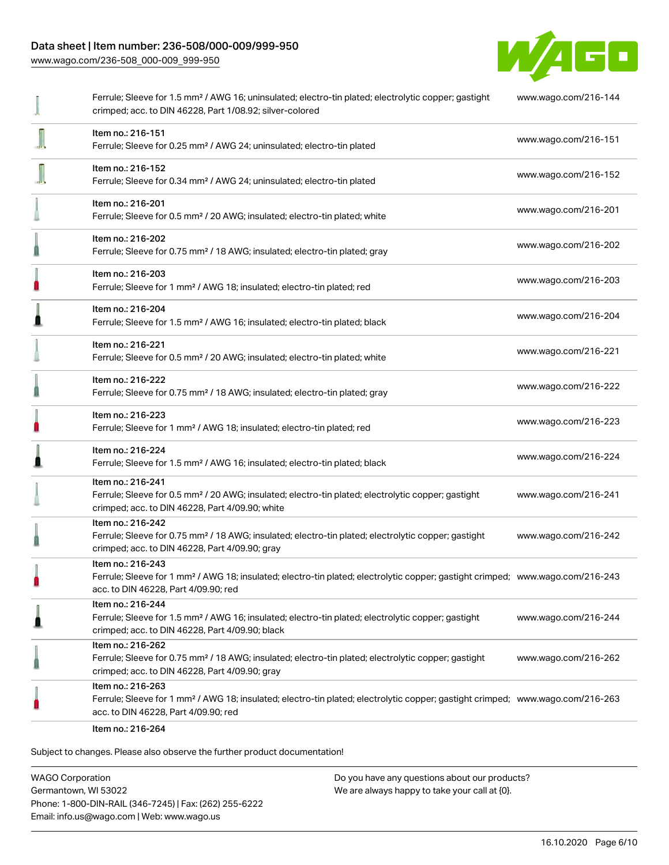[www.wago.com/236-508\\_000-009\\_999-950](http://www.wago.com/236-508_000-009_999-950)



| Ferrule; Sleeve for 1.5 mm <sup>2</sup> / AWG 16; uninsulated; electro-tin plated; electrolytic copper; gastight<br>crimped; acc. to DIN 46228, Part 1/08.92; silver-colored                            | www.wago.com/216-144 |
|---------------------------------------------------------------------------------------------------------------------------------------------------------------------------------------------------------|----------------------|
| Item no.: 216-151<br>Ferrule; Sleeve for 0.25 mm <sup>2</sup> / AWG 24; uninsulated; electro-tin plated                                                                                                 | www.wago.com/216-151 |
| Item no.: 216-152<br>Ferrule; Sleeve for 0.34 mm <sup>2</sup> / AWG 24; uninsulated; electro-tin plated                                                                                                 | www.wago.com/216-152 |
| Item no.: 216-201<br>Ferrule; Sleeve for 0.5 mm <sup>2</sup> / 20 AWG; insulated; electro-tin plated; white                                                                                             | www.wago.com/216-201 |
| Item no.: 216-202<br>Ferrule; Sleeve for 0.75 mm <sup>2</sup> / 18 AWG; insulated; electro-tin plated; gray                                                                                             | www.wago.com/216-202 |
| Item no.: 216-203<br>Ferrule; Sleeve for 1 mm <sup>2</sup> / AWG 18; insulated; electro-tin plated; red                                                                                                 | www.wago.com/216-203 |
| Item no.: 216-204<br>Ferrule; Sleeve for 1.5 mm <sup>2</sup> / AWG 16; insulated; electro-tin plated; black                                                                                             | www.wago.com/216-204 |
| Item no.: 216-221<br>Ferrule; Sleeve for 0.5 mm <sup>2</sup> / 20 AWG; insulated; electro-tin plated; white                                                                                             | www.wago.com/216-221 |
| Item no.: 216-222<br>Ferrule; Sleeve for 0.75 mm <sup>2</sup> / 18 AWG; insulated; electro-tin plated; gray                                                                                             | www.wago.com/216-222 |
| Item no.: 216-223<br>Ferrule; Sleeve for 1 mm <sup>2</sup> / AWG 18; insulated; electro-tin plated; red                                                                                                 | www.wago.com/216-223 |
| Item no.: 216-224<br>Ferrule; Sleeve for 1.5 mm <sup>2</sup> / AWG 16; insulated; electro-tin plated; black                                                                                             | www.wago.com/216-224 |
| Item no.: 216-241<br>Ferrule; Sleeve for 0.5 mm <sup>2</sup> / 20 AWG; insulated; electro-tin plated; electrolytic copper; gastight<br>crimped; acc. to DIN 46228, Part 4/09.90; white                  | www.wago.com/216-241 |
| Item no.: 216-242<br>Ferrule; Sleeve for 0.75 mm <sup>2</sup> / 18 AWG; insulated; electro-tin plated; electrolytic copper; gastight<br>crimped; acc. to DIN 46228, Part 4/09.90; gray                  | www.wago.com/216-242 |
| Item no.: 216-243<br>Ferrule; Sleeve for 1 mm <sup>2</sup> / AWG 18; insulated; electro-tin plated; electrolytic copper; gastight crimped; www.wago.com/216-243<br>acc. to DIN 46228, Part 4/09.90; red |                      |
| Item no.: 216-244<br>Ferrule; Sleeve for 1.5 mm <sup>2</sup> / AWG 16; insulated; electro-tin plated; electrolytic copper; gastight<br>crimped; acc. to DIN 46228, Part 4/09.90; black                  | www.wago.com/216-244 |
| Item no.: 216-262<br>Ferrule; Sleeve for 0.75 mm <sup>2</sup> / 18 AWG; insulated; electro-tin plated; electrolytic copper; gastight<br>crimped; acc. to DIN 46228, Part 4/09.90; gray                  | www.wago.com/216-262 |
| Item no.: 216-263<br>Ferrule; Sleeve for 1 mm <sup>2</sup> / AWG 18; insulated; electro-tin plated; electrolytic copper; gastight crimped; www.wago.com/216-263<br>acc. to DIN 46228, Part 4/09.90; red |                      |
| Item no.: 216-264                                                                                                                                                                                       |                      |

Subject to changes. Please also observe the further product documentation!

WAGO Corporation Germantown, WI 53022 Phone: 1-800-DIN-RAIL (346-7245) | Fax: (262) 255-6222 Email: info.us@wago.com | Web: www.wago.us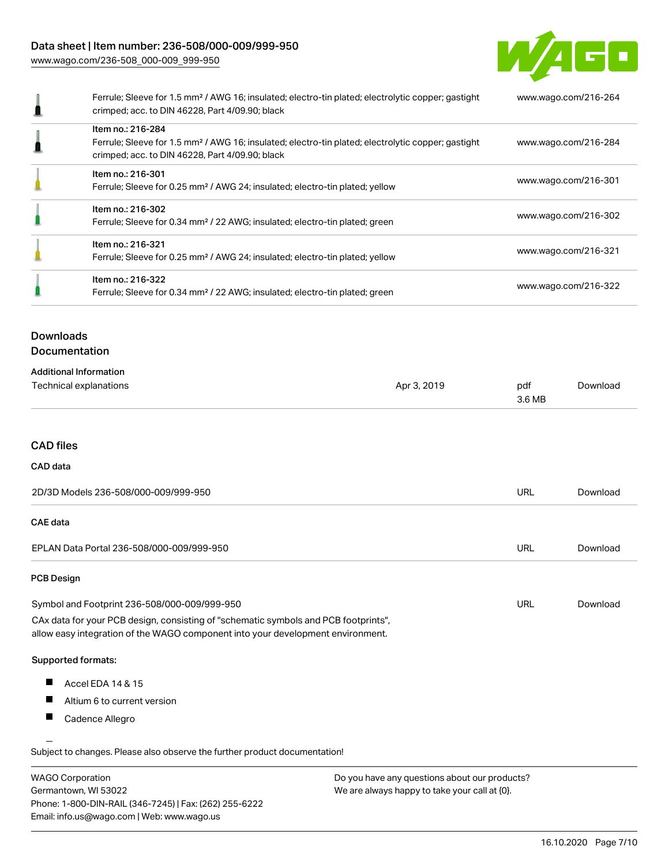[www.wago.com/236-508\\_000-009\\_999-950](http://www.wago.com/236-508_000-009_999-950)



|                  | Ferrule; Sleeve for 1.5 mm <sup>2</sup> / AWG 16; insulated; electro-tin plated; electrolytic copper; gastight<br>crimped; acc. to DIN 46228, Part 4/09.90; black                      | www.wago.com/216-264 |
|------------------|----------------------------------------------------------------------------------------------------------------------------------------------------------------------------------------|----------------------|
|                  | Item no.: 216-284<br>Ferrule; Sleeve for 1.5 mm <sup>2</sup> / AWG 16; insulated; electro-tin plated; electrolytic copper; gastight<br>crimped; acc. to DIN 46228, Part 4/09.90; black | www.wago.com/216-284 |
|                  | Item no.: 216-301<br>Ferrule; Sleeve for 0.25 mm <sup>2</sup> / AWG 24; insulated; electro-tin plated; yellow                                                                          | www.wago.com/216-301 |
|                  | Item no.: 216-302<br>Ferrule; Sleeve for 0.34 mm <sup>2</sup> / 22 AWG; insulated; electro-tin plated; green                                                                           | www.wago.com/216-302 |
|                  | Item no.: 216-321<br>Ferrule; Sleeve for 0.25 mm <sup>2</sup> / AWG 24; insulated; electro-tin plated; yellow                                                                          | www.wago.com/216-321 |
|                  | Item no.: 216-322<br>Ferrule; Sleeve for 0.34 mm <sup>2</sup> / 22 AWG; insulated; electro-tin plated; green                                                                           | www.wago.com/216-322 |
| <b>Downloads</b> | Documentation                                                                                                                                                                          |                      |
|                  | <b>Additional Information</b>                                                                                                                                                          |                      |

| Technical explanations | Apr 3, 2019 | pdf<br>3.6 MB | `)ownload |
|------------------------|-------------|---------------|-----------|
|                        |             |               |           |

## CAD files

#### CAD data

| 2D/3D Models 236-508/000-009/999-950                                                                                                                                   | <b>URL</b> | Download |
|------------------------------------------------------------------------------------------------------------------------------------------------------------------------|------------|----------|
| CAE data                                                                                                                                                               |            |          |
| EPLAN Data Portal 236-508/000-009/999-950                                                                                                                              | <b>URL</b> | Download |
| <b>PCB Design</b>                                                                                                                                                      |            |          |
| Symbol and Footprint 236-508/000-009/999-950                                                                                                                           | <b>URL</b> | Download |
| CAx data for your PCB design, consisting of "schematic symbols and PCB footprints",<br>allow easy integration of the WAGO component into your development environment. |            |          |
| <b>Supported formats:</b>                                                                                                                                              |            |          |
| Accel EDA 14 & 15<br>ш                                                                                                                                                 |            |          |
| Ш<br>Altium 6 to current version                                                                                                                                       |            |          |
| Cadence Allegro                                                                                                                                                        |            |          |
|                                                                                                                                                                        |            |          |

.<br>Subject to changes. Please also observe the further product documentation!

| <b>WAGO Corporation</b>                                | Do you have any questions about our products? |
|--------------------------------------------------------|-----------------------------------------------|
| Germantown, WI 53022                                   | We are always happy to take your call at {0}. |
| Phone: 1-800-DIN-RAIL (346-7245)   Fax: (262) 255-6222 |                                               |
| Email: info.us@wago.com   Web: www.wago.us             |                                               |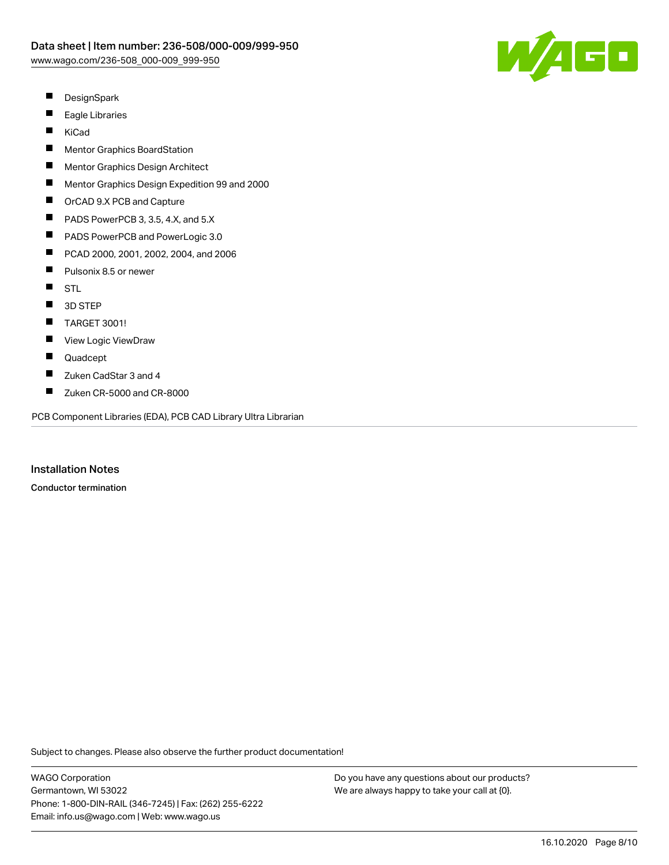

- $\blacksquare$ **DesignSpark**
- $\blacksquare$ Eagle Libraries
- $\blacksquare$ KiCad
- $\blacksquare$ Mentor Graphics BoardStation
- П Mentor Graphics Design Architect
- $\blacksquare$ Mentor Graphics Design Expedition 99 and 2000
- $\blacksquare$ OrCAD 9.X PCB and Capture
- $\blacksquare$ PADS PowerPCB 3, 3.5, 4.X, and 5.X
- $\blacksquare$ PADS PowerPCB and PowerLogic 3.0
- $\blacksquare$ PCAD 2000, 2001, 2002, 2004, and 2006
- $\blacksquare$ Pulsonix 8.5 or newer
- $\blacksquare$ STL
- $\blacksquare$ 3D STEP
- $\blacksquare$ TARGET 3001!
- $\blacksquare$ View Logic ViewDraw
- $\blacksquare$ Quadcept
- П Zuken CadStar 3 and 4
- $\blacksquare$ Zuken CR-5000 and CR-8000

PCB Component Libraries (EDA), PCB CAD Library Ultra Librarian

Installation Notes

Conductor termination

Subject to changes. Please also observe the further product documentation!

WAGO Corporation Germantown, WI 53022 Phone: 1-800-DIN-RAIL (346-7245) | Fax: (262) 255-6222 Email: info.us@wago.com | Web: www.wago.us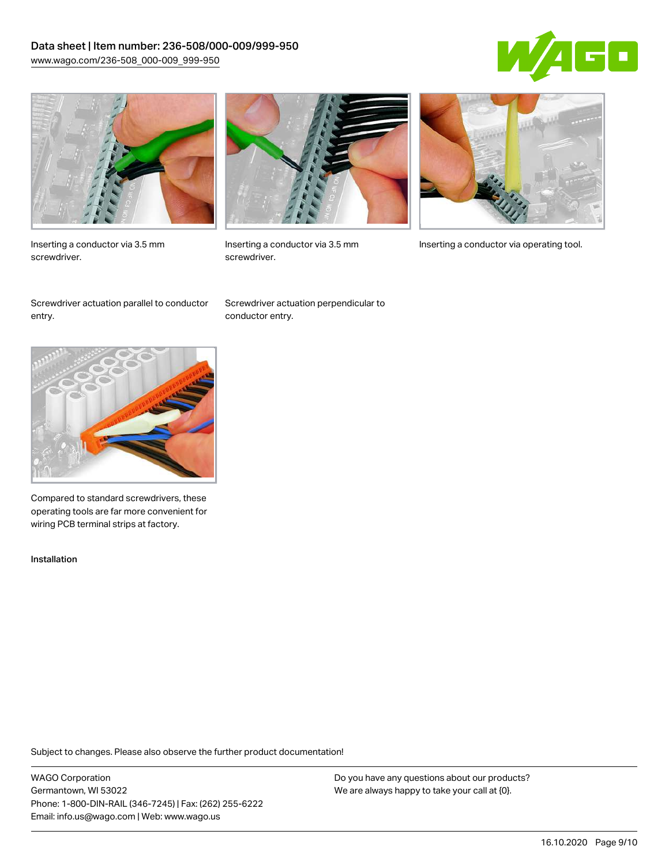## Data sheet | Item number: 236-508/000-009/999-950 [www.wago.com/236-508\\_000-009\\_999-950](http://www.wago.com/236-508_000-009_999-950)





Inserting a conductor via 3.5 mm screwdriver.



screwdriver.

Inserting a conductor via 3.5 mm Inserting a conductor via operating tool.

Screwdriver actuation parallel to conductor entry.

Screwdriver actuation perpendicular to conductor entry.



Compared to standard screwdrivers, these operating tools are far more convenient for wiring PCB terminal strips at factory.

Installation

Subject to changes. Please also observe the further product documentation!

WAGO Corporation Germantown, WI 53022 Phone: 1-800-DIN-RAIL (346-7245) | Fax: (262) 255-6222 Email: info.us@wago.com | Web: www.wago.us